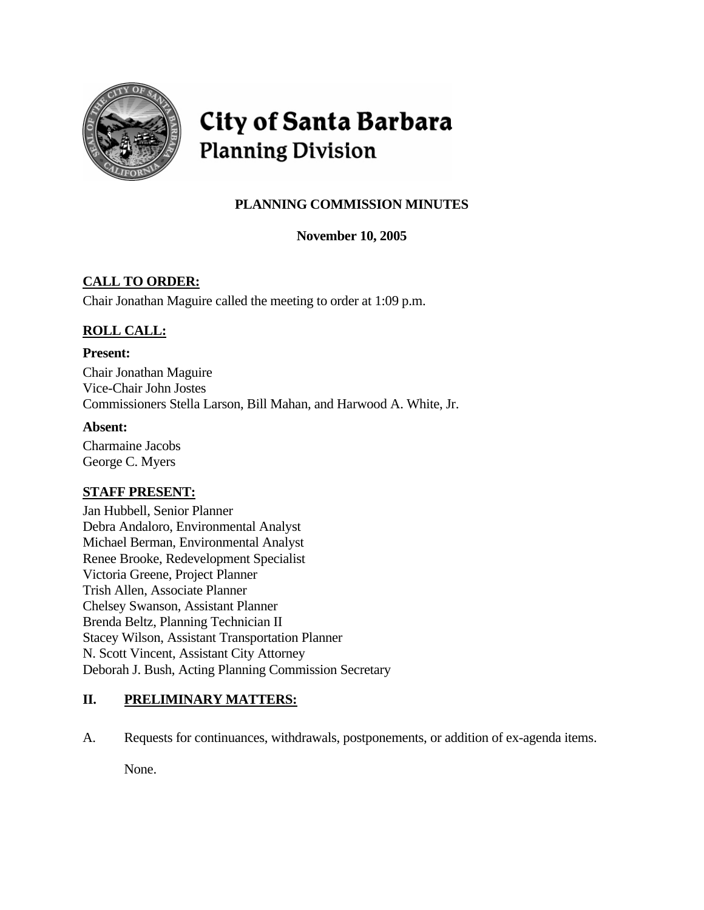

# City of Santa Barbara **Planning Division**

# **PLANNING COMMISSION MINUTES**

# **November 10, 2005**

# **CALL TO ORDER:**

Chair Jonathan Maguire called the meeting to order at 1:09 p.m.

# **ROLL CALL:**

### **Present:**

Chair Jonathan Maguire Vice-Chair John Jostes Commissioners Stella Larson, Bill Mahan, and Harwood A. White, Jr.

# **Absent:**

Charmaine Jacobs George C. Myers

# **STAFF PRESENT:**

Jan Hubbell, Senior Planner Debra Andaloro, Environmental Analyst Michael Berman, Environmental Analyst Renee Brooke, Redevelopment Specialist Victoria Greene, Project Planner Trish Allen, Associate Planner Chelsey Swanson, Assistant Planner Brenda Beltz, Planning Technician II Stacey Wilson, Assistant Transportation Planner N. Scott Vincent, Assistant City Attorney Deborah J. Bush, Acting Planning Commission Secretary

# **II. PRELIMINARY MATTERS:**

A. Requests for continuances, withdrawals, postponements, or addition of ex-agenda items.

None.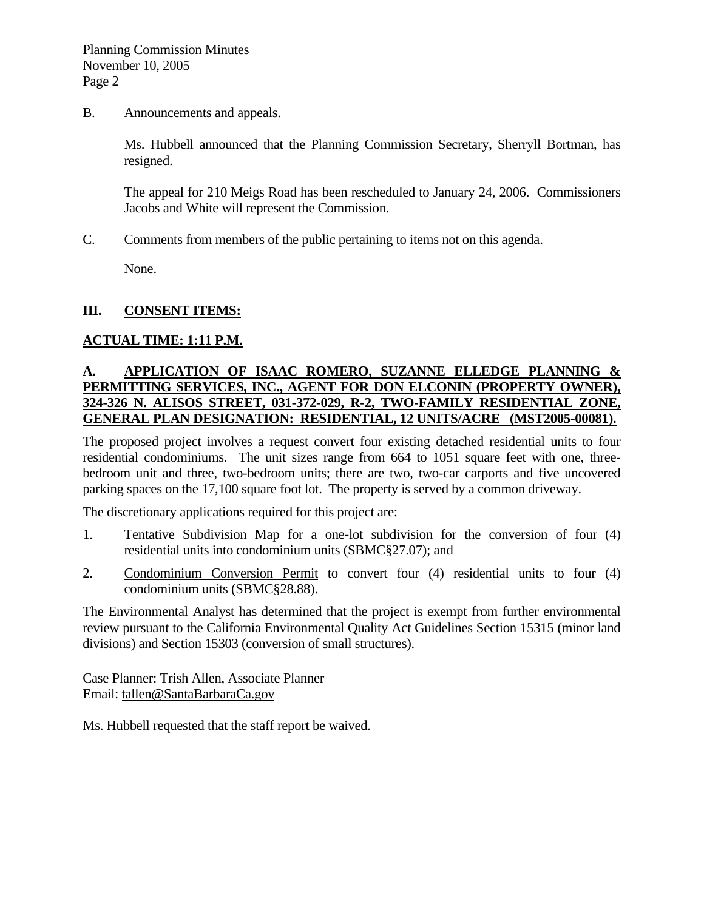B. Announcements and appeals.

Ms. Hubbell announced that the Planning Commission Secretary, Sherryll Bortman, has resigned.

The appeal for 210 Meigs Road has been rescheduled to January 24, 2006. Commissioners Jacobs and White will represent the Commission.

C. Comments from members of the public pertaining to items not on this agenda.

None.

### **III. CONSENT ITEMS:**

# **ACTUAL TIME: 1:11 P.M.**

# **A. APPLICATION OF ISAAC ROMERO, SUZANNE ELLEDGE PLANNING & PERMITTING SERVICES, INC., AGENT FOR DON ELCONIN (PROPERTY OWNER), 324-326 N. ALISOS STREET, 031-372-029, R-2, TWO-FAMILY RESIDENTIAL ZONE, GENERAL PLAN DESIGNATION: RESIDENTIAL, 12 UNITS/ACRE (MST2005-00081).**

The proposed project involves a request convert four existing detached residential units to four residential condominiums. The unit sizes range from 664 to 1051 square feet with one, threebedroom unit and three, two-bedroom units; there are two, two-car carports and five uncovered parking spaces on the 17,100 square foot lot. The property is served by a common driveway.

The discretionary applications required for this project are:

- 1. Tentative Subdivision Map for a one-lot subdivision for the conversion of four (4) residential units into condominium units (SBMC§27.07); and
- 2. Condominium Conversion Permit to convert four (4) residential units to four (4) condominium units (SBMC§28.88).

The Environmental Analyst has determined that the project is exempt from further environmental review pursuant to the California Environmental Quality Act Guidelines Section 15315 (minor land divisions) and Section 15303 (conversion of small structures).

Case Planner: Trish Allen, Associate Planner Email: [tallen@SantaBarbaraCa.gov](mailto:tallen@SantaBarbaraCa.gov)

Ms. Hubbell requested that the staff report be waived.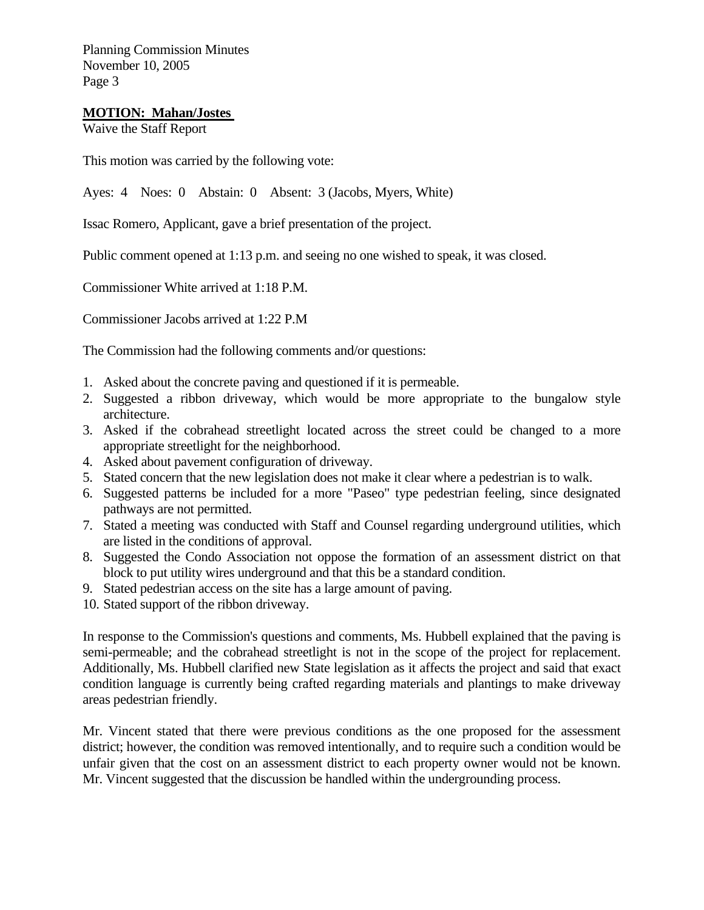### **MOTION: Mahan/Jostes**

Waive the Staff Report

This motion was carried by the following vote:

Ayes: 4 Noes: 0 Abstain: 0 Absent: 3 (Jacobs, Myers, White)

Issac Romero, Applicant, gave a brief presentation of the project.

Public comment opened at 1:13 p.m. and seeing no one wished to speak, it was closed.

Commissioner White arrived at 1:18 P.M.

Commissioner Jacobs arrived at 1:22 P.M

The Commission had the following comments and/or questions:

- 1. Asked about the concrete paving and questioned if it is permeable.
- 2. Suggested a ribbon driveway, which would be more appropriate to the bungalow style architecture.
- 3. Asked if the cobrahead streetlight located across the street could be changed to a more appropriate streetlight for the neighborhood.
- 4. Asked about pavement configuration of driveway.
- 5. Stated concern that the new legislation does not make it clear where a pedestrian is to walk.
- 6. Suggested patterns be included for a more "Paseo" type pedestrian feeling, since designated pathways are not permitted.
- 7. Stated a meeting was conducted with Staff and Counsel regarding underground utilities, which are listed in the conditions of approval.
- 8. Suggested the Condo Association not oppose the formation of an assessment district on that block to put utility wires underground and that this be a standard condition.
- 9. Stated pedestrian access on the site has a large amount of paving.
- 10. Stated support of the ribbon driveway.

In response to the Commission's questions and comments, Ms. Hubbell explained that the paving is semi-permeable; and the cobrahead streetlight is not in the scope of the project for replacement. Additionally, Ms. Hubbell clarified new State legislation as it affects the project and said that exact condition language is currently being crafted regarding materials and plantings to make driveway areas pedestrian friendly.

Mr. Vincent stated that there were previous conditions as the one proposed for the assessment district; however, the condition was removed intentionally, and to require such a condition would be unfair given that the cost on an assessment district to each property owner would not be known. Mr. Vincent suggested that the discussion be handled within the undergrounding process.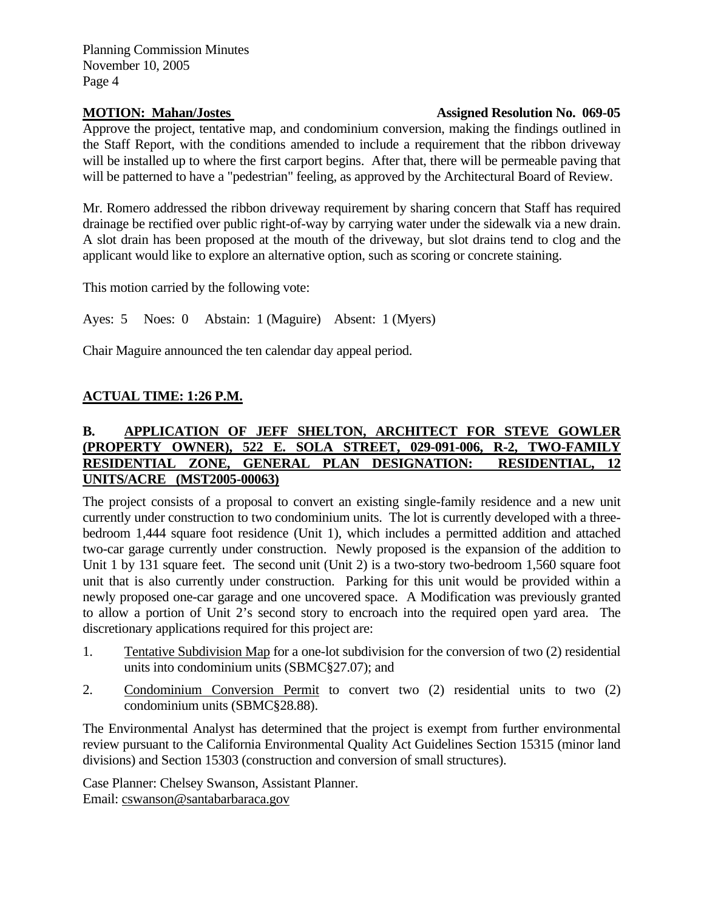# **MOTION: Mahan/Jostes Assigned Resolution No. 069-05**

Approve the project, tentative map, and condominium conversion, making the findings outlined in the Staff Report, with the conditions amended to include a requirement that the ribbon driveway will be installed up to where the first carport begins. After that, there will be permeable paving that will be patterned to have a "pedestrian" feeling, as approved by the Architectural Board of Review.

Mr. Romero addressed the ribbon driveway requirement by sharing concern that Staff has required drainage be rectified over public right-of-way by carrying water under the sidewalk via a new drain. A slot drain has been proposed at the mouth of the driveway, but slot drains tend to clog and the applicant would like to explore an alternative option, such as scoring or concrete staining.

This motion carried by the following vote:

Ayes: 5 Noes: 0 Abstain: 1 (Maguire) Absent: 1 (Myers)

Chair Maguire announced the ten calendar day appeal period.

# **ACTUAL TIME: 1:26 P.M.**

# **B. APPLICATION OF JEFF SHELTON, ARCHITECT FOR STEVE GOWLER (PROPERTY OWNER), 522 E. SOLA STREET, 029-091-006, R-2, TWO-FAMILY RESIDENTIAL ZONE, GENERAL PLAN DESIGNATION: RESIDENTIAL, 12 UNITS/ACRE (MST2005-00063)**

The project consists of a proposal to convert an existing single-family residence and a new unit currently under construction to two condominium units. The lot is currently developed with a threebedroom 1,444 square foot residence (Unit 1), which includes a permitted addition and attached two-car garage currently under construction. Newly proposed is the expansion of the addition to Unit 1 by 131 square feet. The second unit (Unit 2) is a two-story two-bedroom 1,560 square foot unit that is also currently under construction. Parking for this unit would be provided within a newly proposed one-car garage and one uncovered space. A Modification was previously granted to allow a portion of Unit 2's second story to encroach into the required open yard area. The discretionary applications required for this project are:

- 1. Tentative Subdivision Map for a one-lot subdivision for the conversion of two (2) residential units into condominium units (SBMC§27.07); and
- 2. Condominium Conversion Permit to convert two (2) residential units to two (2) condominium units (SBMC§28.88).

The Environmental Analyst has determined that the project is exempt from further environmental review pursuant to the California Environmental Quality Act Guidelines Section 15315 (minor land divisions) and Section 15303 (construction and conversion of small structures).

Case Planner: Chelsey Swanson, Assistant Planner. Email: [cswanson@santabarbaraca.gov](mailto:cswanson@santabarbaraca.gov)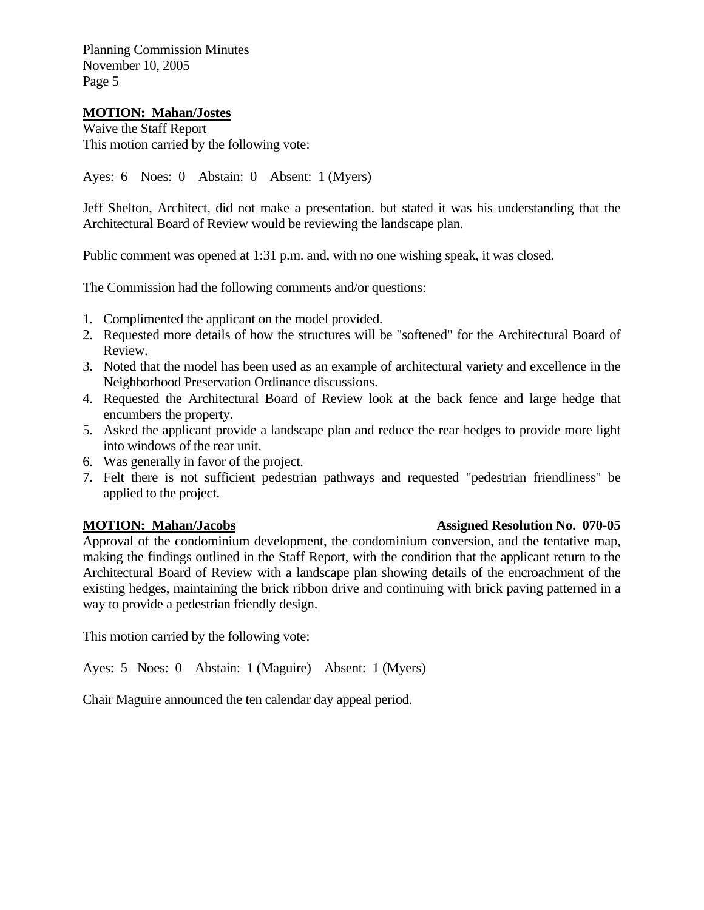### **MOTION: Mahan/Jostes**

Waive the Staff Report This motion carried by the following vote:

Ayes: 6 Noes: 0 Abstain: 0 Absent: 1 (Myers)

Jeff Shelton, Architect, did not make a presentation. but stated it was his understanding that the Architectural Board of Review would be reviewing the landscape plan.

Public comment was opened at 1:31 p.m. and, with no one wishing speak, it was closed.

The Commission had the following comments and/or questions:

- 1. Complimented the applicant on the model provided.
- 2. Requested more details of how the structures will be "softened" for the Architectural Board of Review.
- 3. Noted that the model has been used as an example of architectural variety and excellence in the Neighborhood Preservation Ordinance discussions.
- 4. Requested the Architectural Board of Review look at the back fence and large hedge that encumbers the property.
- 5. Asked the applicant provide a landscape plan and reduce the rear hedges to provide more light into windows of the rear unit.
- 6. Was generally in favor of the project.
- 7. Felt there is not sufficient pedestrian pathways and requested "pedestrian friendliness" be applied to the project.

Approval of the condominium development, the condominium conversion, and the tentative map, making the findings outlined in the Staff Report, with the condition that the applicant return to the Architectural Board of Review with a landscape plan showing details of the encroachment of the existing hedges, maintaining the brick ribbon drive and continuing with brick paving patterned in a way to provide a pedestrian friendly design.

This motion carried by the following vote:

Ayes: 5 Noes: 0 Abstain: 1 (Maguire) Absent: 1 (Myers)

Chair Maguire announced the ten calendar day appeal period.

### **MOTION: Mahan/Jacobs Assigned Resolution No. 070-05**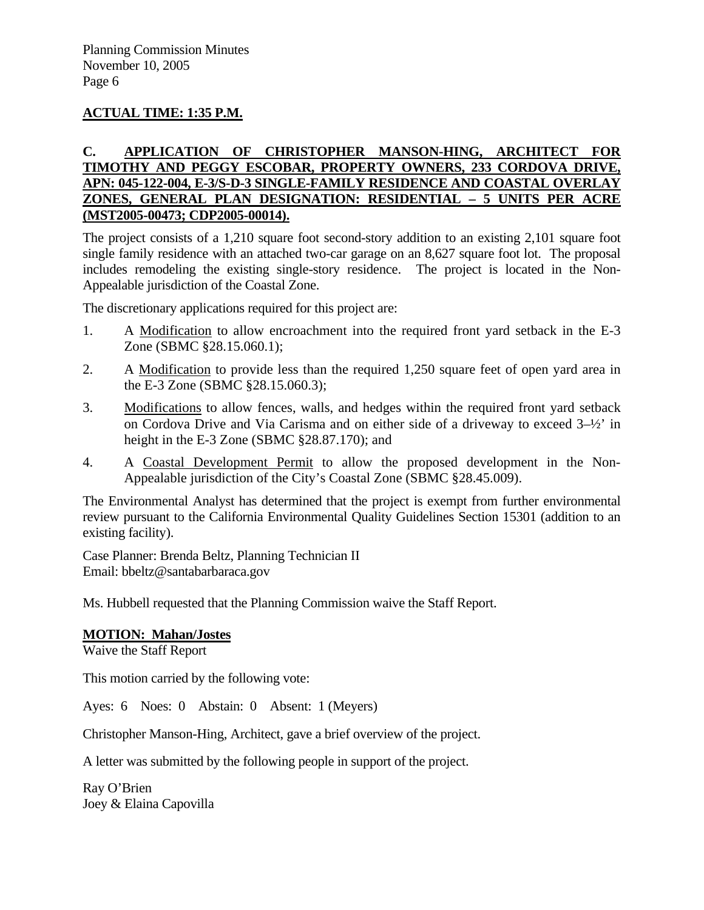# **ACTUAL TIME: 1:35 P.M.**

# **C. APPLICATION OF CHRISTOPHER MANSON-HING, ARCHITECT FOR TIMOTHY AND PEGGY ESCOBAR, PROPERTY OWNERS, 233 CORDOVA DRIVE, APN: 045-122-004, E-3/S-D-3 SINGLE-FAMILY RESIDENCE AND COASTAL OVERLAY ZONES, GENERAL PLAN DESIGNATION: RESIDENTIAL – 5 UNITS PER ACRE (MST2005-00473; CDP2005-00014).**

The project consists of a 1,210 square foot second-story addition to an existing 2,101 square foot single family residence with an attached two-car garage on an 8,627 square foot lot. The proposal includes remodeling the existing single-story residence. The project is located in the Non-Appealable jurisdiction of the Coastal Zone.

The discretionary applications required for this project are:

- 1. A Modification to allow encroachment into the required front yard setback in the E-3 Zone (SBMC §28.15.060.1);
- 2. A Modification to provide less than the required 1,250 square feet of open yard area in the E-3 Zone (SBMC §28.15.060.3);
- 3. Modifications to allow fences, walls, and hedges within the required front yard setback on Cordova Drive and Via Carisma and on either side of a driveway to exceed 3–½' in height in the E-3 Zone (SBMC §28.87.170); and
- 4. A Coastal Development Permit to allow the proposed development in the Non-Appealable jurisdiction of the City's Coastal Zone (SBMC §28.45.009).

The Environmental Analyst has determined that the project is exempt from further environmental review pursuant to the California Environmental Quality Guidelines Section 15301 (addition to an existing facility).

Case Planner: Brenda Beltz, Planning Technician II Email: bbeltz@santabarbaraca.gov

Ms. Hubbell requested that the Planning Commission waive the Staff Report.

### **MOTION: Mahan/Jostes**

Waive the Staff Report

This motion carried by the following vote:

Ayes: 6 Noes: 0 Abstain: 0 Absent: 1 (Meyers)

Christopher Manson-Hing, Architect, gave a brief overview of the project.

A letter was submitted by the following people in support of the project.

Ray O'Brien Joey & Elaina Capovilla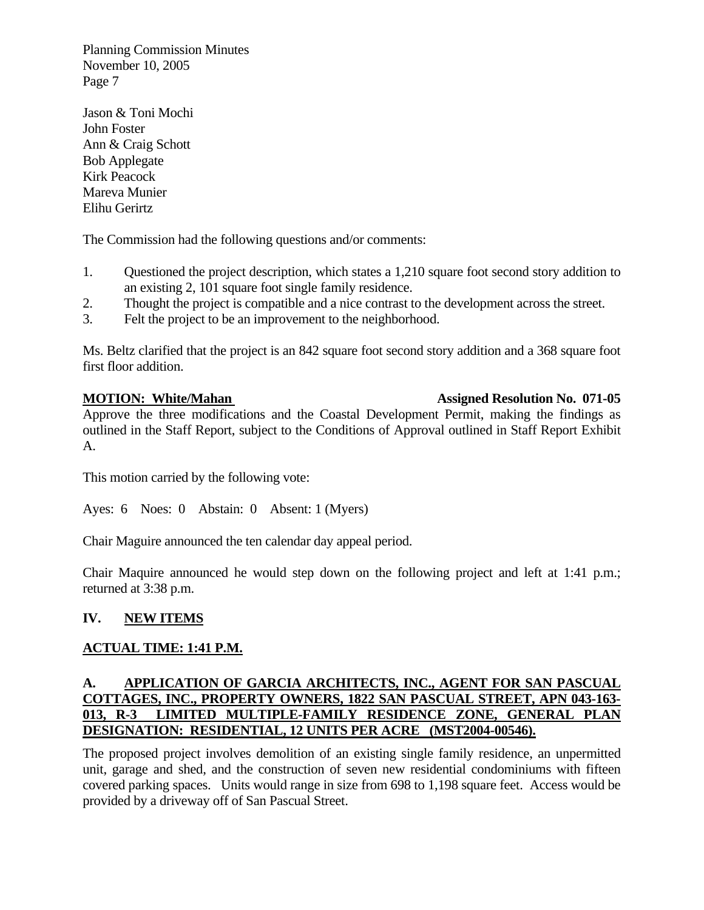Jason & Toni Mochi John Foster Ann & Craig Schott Bob Applegate Kirk Peacock Mareva Munier Elihu Gerirtz

The Commission had the following questions and/or comments:

- 1. Questioned the project description, which states a 1,210 square foot second story addition to an existing 2, 101 square foot single family residence.
- 2. Thought the project is compatible and a nice contrast to the development across the street.
- 3. Felt the project to be an improvement to the neighborhood.

Ms. Beltz clarified that the project is an 842 square foot second story addition and a 368 square foot first floor addition.

# **MOTION: White/Mahan Assigned Resolution No. 071-05**

Approve the three modifications and the Coastal Development Permit, making the findings as outlined in the Staff Report, subject to the Conditions of Approval outlined in Staff Report Exhibit A.

This motion carried by the following vote:

Ayes: 6 Noes: 0 Abstain: 0 Absent: 1 (Myers)

Chair Maguire announced the ten calendar day appeal period.

Chair Maquire announced he would step down on the following project and left at 1:41 p.m.; returned at 3:38 p.m.

# **IV. NEW ITEMS**

# **ACTUAL TIME: 1:41 P.M.**

# **A. APPLICATION OF GARCIA ARCHITECTS, INC., AGENT FOR SAN PASCUAL COTTAGES, INC., PROPERTY OWNERS, 1822 SAN PASCUAL STREET, APN 043-163- 013, R-3 LIMITED MULTIPLE-FAMILY RESIDENCE ZONE, GENERAL PLAN DESIGNATION: RESIDENTIAL, 12 UNITS PER ACRE (MST2004-00546).**

The proposed project involves demolition of an existing single family residence, an unpermitted unit, garage and shed, and the construction of seven new residential condominiums with fifteen covered parking spaces. Units would range in size from 698 to 1,198 square feet. Access would be provided by a driveway off of San Pascual Street.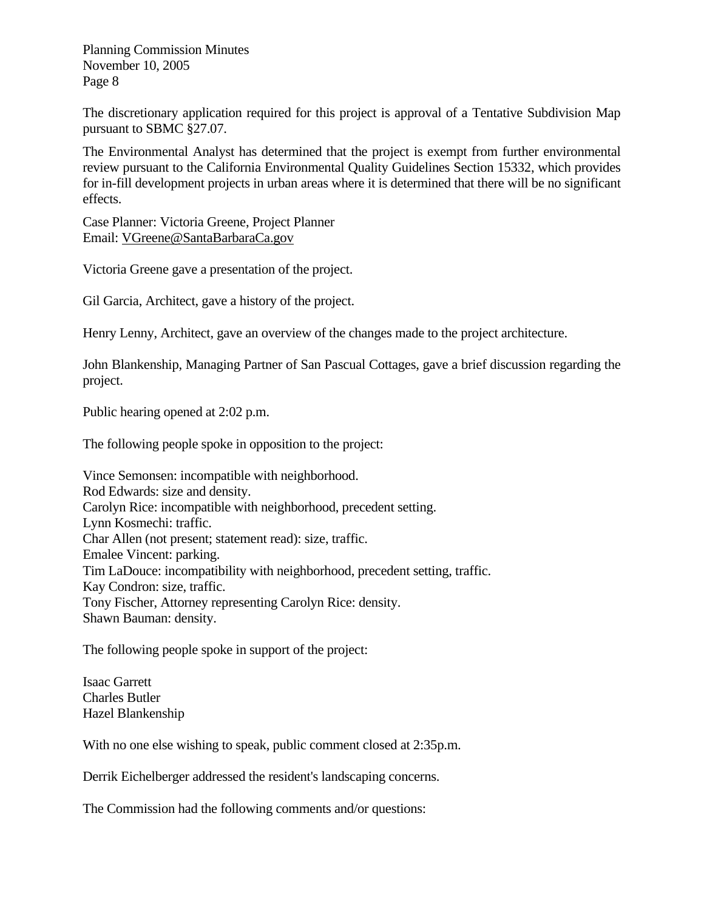The discretionary application required for this project is approval of a Tentative Subdivision Map pursuant to SBMC §27.07.

The Environmental Analyst has determined that the project is exempt from further environmental review pursuant to the California Environmental Quality Guidelines Section 15332, which provides for in-fill development projects in urban areas where it is determined that there will be no significant effects.

Case Planner: Victoria Greene, Project Planner Email: [VGreene@SantaBarbaraCa.gov](mailto:VGreene@SantaBarbaraCa.gov)

Victoria Greene gave a presentation of the project.

Gil Garcia, Architect, gave a history of the project.

Henry Lenny, Architect, gave an overview of the changes made to the project architecture.

John Blankenship, Managing Partner of San Pascual Cottages, gave a brief discussion regarding the project.

Public hearing opened at 2:02 p.m.

The following people spoke in opposition to the project:

Vince Semonsen: incompatible with neighborhood. Rod Edwards: size and density. Carolyn Rice: incompatible with neighborhood, precedent setting. Lynn Kosmechi: traffic. Char Allen (not present; statement read): size, traffic. Emalee Vincent: parking. Tim LaDouce: incompatibility with neighborhood, precedent setting, traffic. Kay Condron: size, traffic. Tony Fischer, Attorney representing Carolyn Rice: density. Shawn Bauman: density.

The following people spoke in support of the project:

Isaac Garrett Charles Butler Hazel Blankenship

With no one else wishing to speak, public comment closed at 2:35p.m.

Derrik Eichelberger addressed the resident's landscaping concerns.

The Commission had the following comments and/or questions: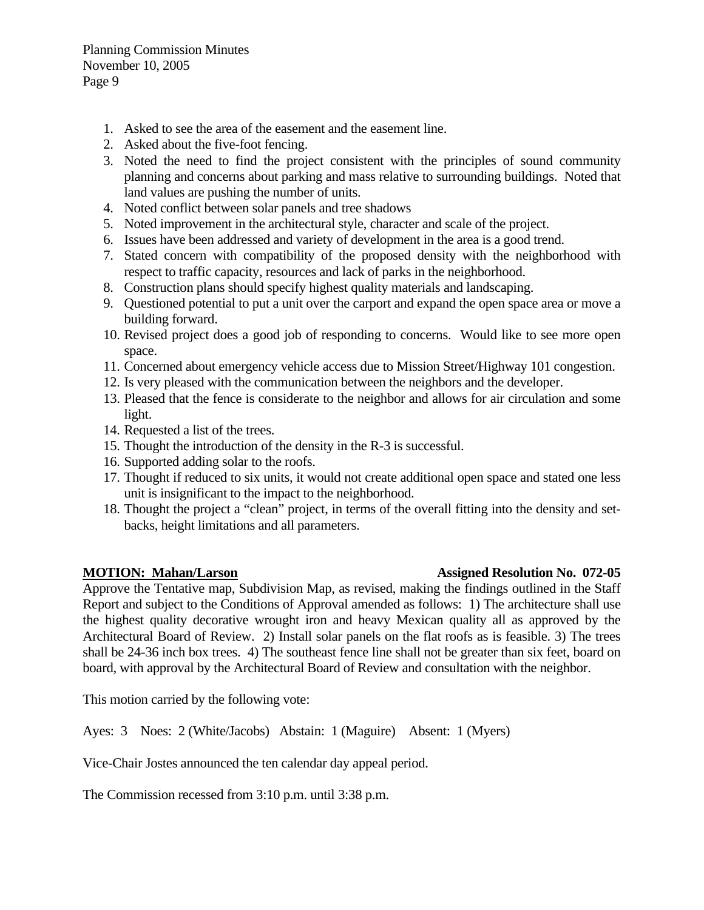- 1. Asked to see the area of the easement and the easement line.
- 2. Asked about the five-foot fencing.
- 3. Noted the need to find the project consistent with the principles of sound community planning and concerns about parking and mass relative to surrounding buildings. Noted that land values are pushing the number of units.
- 4. Noted conflict between solar panels and tree shadows
- 5. Noted improvement in the architectural style, character and scale of the project.
- 6. Issues have been addressed and variety of development in the area is a good trend.
- 7. Stated concern with compatibility of the proposed density with the neighborhood with respect to traffic capacity, resources and lack of parks in the neighborhood.
- 8. Construction plans should specify highest quality materials and landscaping.
- 9. Questioned potential to put a unit over the carport and expand the open space area or move a building forward.
- 10. Revised project does a good job of responding to concerns. Would like to see more open space.
- 11. Concerned about emergency vehicle access due to Mission Street/Highway 101 congestion.
- 12. Is very pleased with the communication between the neighbors and the developer.
- 13. Pleased that the fence is considerate to the neighbor and allows for air circulation and some light.
- 14. Requested a list of the trees.
- 15. Thought the introduction of the density in the R-3 is successful.
- 16. Supported adding solar to the roofs.
- 17. Thought if reduced to six units, it would not create additional open space and stated one less unit is insignificant to the impact to the neighborhood.
- 18. Thought the project a "clean" project, in terms of the overall fitting into the density and setbacks, height limitations and all parameters.

Approve the Tentative map, Subdivision Map, as revised, making the findings outlined in the Staff Report and subject to the Conditions of Approval amended as follows: 1) The architecture shall use the highest quality decorative wrought iron and heavy Mexican quality all as approved by the Architectural Board of Review. 2) Install solar panels on the flat roofs as is feasible. 3) The trees shall be 24-36 inch box trees. 4) The southeast fence line shall not be greater than six feet, board on board, with approval by the Architectural Board of Review and consultation with the neighbor.

This motion carried by the following vote:

Ayes: 3 Noes: 2 (White/Jacobs) Abstain: 1 (Maguire) Absent: 1 (Myers)

Vice-Chair Jostes announced the ten calendar day appeal period.

The Commission recessed from 3:10 p.m. until 3:38 p.m.

# **MOTION: Mahan/Larson Mathematic Contract Assigned Resolution No. 072-05**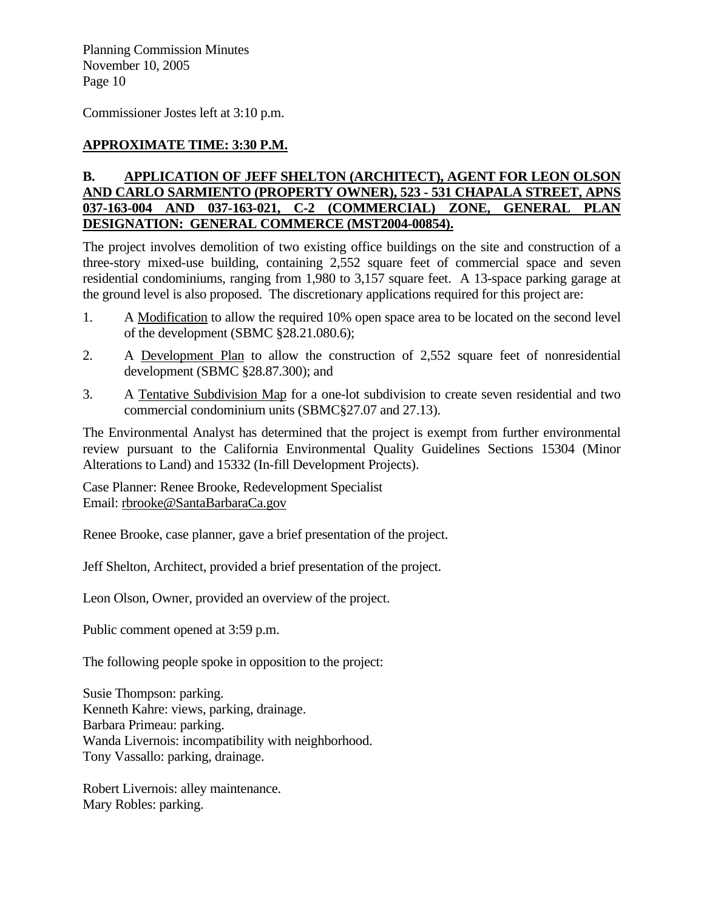Commissioner Jostes left at 3:10 p.m.

# **APPROXIMATE TIME: 3:30 P.M.**

# **B. APPLICATION OF JEFF SHELTON (ARCHITECT), AGENT FOR LEON OLSON AND CARLO SARMIENTO (PROPERTY OWNER), 523 - 531 CHAPALA STREET, APNS 037-163-004 AND 037-163-021, C-2 (COMMERCIAL) ZONE, GENERAL PLAN DESIGNATION: GENERAL COMMERCE (MST2004-00854).**

The project involves demolition of two existing office buildings on the site and construction of a three-story mixed-use building, containing 2,552 square feet of commercial space and seven residential condominiums, ranging from 1,980 to 3,157 square feet. A 13-space parking garage at the ground level is also proposed. The discretionary applications required for this project are:

- 1. A Modification to allow the required 10% open space area to be located on the second level of the development (SBMC §28.21.080.6);
- 2. A Development Plan to allow the construction of 2,552 square feet of nonresidential development (SBMC §28.87.300); and
- 3. A Tentative Subdivision Map for a one-lot subdivision to create seven residential and two commercial condominium units (SBMC§27.07 and 27.13).

The Environmental Analyst has determined that the project is exempt from further environmental review pursuant to the California Environmental Quality Guidelines Sections 15304 (Minor Alterations to Land) and 15332 (In-fill Development Projects).

Case Planner: Renee Brooke, Redevelopment Specialist Email: [rbrooke@SantaBarbaraCa.gov](mailto:rbrooke@SantaBarbaraCa.gov)

Renee Brooke, case planner, gave a brief presentation of the project.

Jeff Shelton, Architect, provided a brief presentation of the project.

Leon Olson, Owner, provided an overview of the project.

Public comment opened at 3:59 p.m.

The following people spoke in opposition to the project:

Susie Thompson: parking. Kenneth Kahre: views, parking, drainage. Barbara Primeau: parking. Wanda Livernois: incompatibility with neighborhood. Tony Vassallo: parking, drainage.

Robert Livernois: alley maintenance. Mary Robles: parking.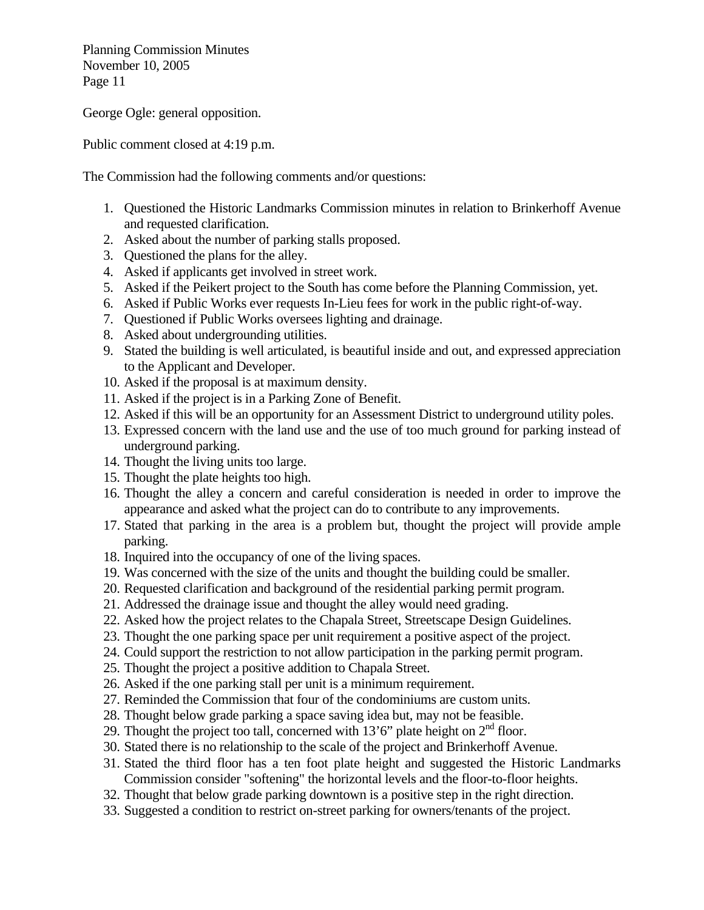George Ogle: general opposition.

Public comment closed at 4:19 p.m.

The Commission had the following comments and/or questions:

- 1. Questioned the Historic Landmarks Commission minutes in relation to Brinkerhoff Avenue and requested clarification.
- 2. Asked about the number of parking stalls proposed.
- 3. Questioned the plans for the alley.
- 4. Asked if applicants get involved in street work.
- 5. Asked if the Peikert project to the South has come before the Planning Commission, yet.
- 6. Asked if Public Works ever requests In-Lieu fees for work in the public right-of-way.
- 7. Questioned if Public Works oversees lighting and drainage.
- 8. Asked about undergrounding utilities.
- 9. Stated the building is well articulated, is beautiful inside and out, and expressed appreciation to the Applicant and Developer.
- 10. Asked if the proposal is at maximum density.
- 11. Asked if the project is in a Parking Zone of Benefit.
- 12. Asked if this will be an opportunity for an Assessment District to underground utility poles.
- 13. Expressed concern with the land use and the use of too much ground for parking instead of underground parking.
- 14. Thought the living units too large.
- 15. Thought the plate heights too high.
- 16. Thought the alley a concern and careful consideration is needed in order to improve the appearance and asked what the project can do to contribute to any improvements.
- 17. Stated that parking in the area is a problem but, thought the project will provide ample parking.
- 18. Inquired into the occupancy of one of the living spaces.
- 19. Was concerned with the size of the units and thought the building could be smaller.
- 20. Requested clarification and background of the residential parking permit program.
- 21. Addressed the drainage issue and thought the alley would need grading.
- 22. Asked how the project relates to the Chapala Street, Streetscape Design Guidelines.
- 23. Thought the one parking space per unit requirement a positive aspect of the project.
- 24. Could support the restriction to not allow participation in the parking permit program.
- 25. Thought the project a positive addition to Chapala Street.
- 26. Asked if the one parking stall per unit is a minimum requirement.
- 27. Reminded the Commission that four of the condominiums are custom units.
- 28. Thought below grade parking a space saving idea but, may not be feasible.
- 29. Thought the project too tall, concerned with 13'6" plate height on  $2<sup>nd</sup>$  floor.
- 30. Stated there is no relationship to the scale of the project and Brinkerhoff Avenue.
- 31. Stated the third floor has a ten foot plate height and suggested the Historic Landmarks Commission consider "softening" the horizontal levels and the floor-to-floor heights.
- 32. Thought that below grade parking downtown is a positive step in the right direction.
- 33. Suggested a condition to restrict on-street parking for owners/tenants of the project.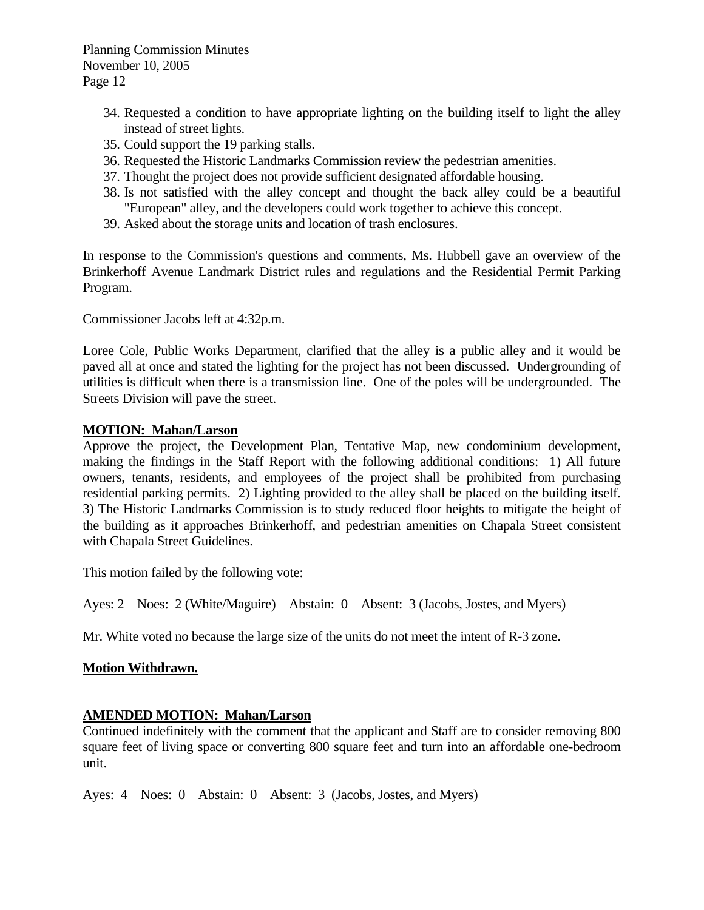- 34. Requested a condition to have appropriate lighting on the building itself to light the alley instead of street lights.
- 35. Could support the 19 parking stalls.
- 36. Requested the Historic Landmarks Commission review the pedestrian amenities.
- 37. Thought the project does not provide sufficient designated affordable housing.
- 38. Is not satisfied with the alley concept and thought the back alley could be a beautiful "European" alley, and the developers could work together to achieve this concept.
- 39. Asked about the storage units and location of trash enclosures.

In response to the Commission's questions and comments, Ms. Hubbell gave an overview of the Brinkerhoff Avenue Landmark District rules and regulations and the Residential Permit Parking Program.

Commissioner Jacobs left at 4:32p.m.

Loree Cole, Public Works Department, clarified that the alley is a public alley and it would be paved all at once and stated the lighting for the project has not been discussed. Undergrounding of utilities is difficult when there is a transmission line. One of the poles will be undergrounded. The Streets Division will pave the street.

### **MOTION: Mahan/Larson**

Approve the project, the Development Plan, Tentative Map, new condominium development, making the findings in the Staff Report with the following additional conditions: 1) All future owners, tenants, residents, and employees of the project shall be prohibited from purchasing residential parking permits. 2) Lighting provided to the alley shall be placed on the building itself. 3) The Historic Landmarks Commission is to study reduced floor heights to mitigate the height of the building as it approaches Brinkerhoff, and pedestrian amenities on Chapala Street consistent with Chapala Street Guidelines.

This motion failed by the following vote:

Ayes: 2 Noes: 2 (White/Maguire) Abstain: 0 Absent: 3 (Jacobs, Jostes, and Myers)

Mr. White voted no because the large size of the units do not meet the intent of R-3 zone.

### **Motion Withdrawn.**

### **AMENDED MOTION: Mahan/Larson**

Continued indefinitely with the comment that the applicant and Staff are to consider removing 800 square feet of living space or converting 800 square feet and turn into an affordable one-bedroom unit.

Ayes: 4 Noes: 0 Abstain: 0 Absent: 3 (Jacobs, Jostes, and Myers)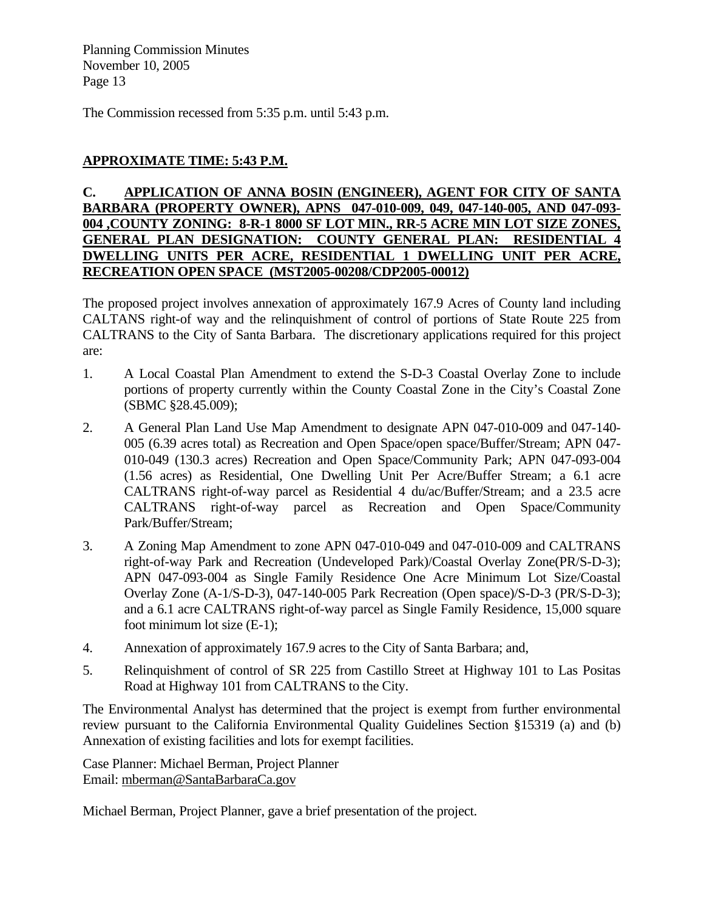The Commission recessed from 5:35 p.m. until 5:43 p.m.

# **APPROXIMATE TIME: 5:43 P.M.**

# **C. APPLICATION OF ANNA BOSIN (ENGINEER), AGENT FOR CITY OF SANTA BARBARA (PROPERTY OWNER), APNS 047-010-009, 049, 047-140-005, AND 047-093- 004 ,COUNTY ZONING: 8-R-1 8000 SF LOT MIN., RR-5 ACRE MIN LOT SIZE ZONES, GENERAL PLAN DESIGNATION: COUNTY GENERAL PLAN: RESIDENTIAL 4 DWELLING UNITS PER ACRE, RESIDENTIAL 1 DWELLING UNIT PER ACRE, RECREATION OPEN SPACE (MST2005-00208/CDP2005-00012)**

The proposed project involves annexation of approximately 167.9 Acres of County land including CALTANS right-of way and the relinquishment of control of portions of State Route 225 from CALTRANS to the City of Santa Barbara. The discretionary applications required for this project are:

- 1. A Local Coastal Plan Amendment to extend the S-D-3 Coastal Overlay Zone to include portions of property currently within the County Coastal Zone in the City's Coastal Zone (SBMC §28.45.009);
- 2. A General Plan Land Use Map Amendment to designate APN 047-010-009 and 047-140- 005 (6.39 acres total) as Recreation and Open Space/open space/Buffer/Stream; APN 047- 010-049 (130.3 acres) Recreation and Open Space/Community Park; APN 047-093-004 (1.56 acres) as Residential, One Dwelling Unit Per Acre/Buffer Stream; a 6.1 acre CALTRANS right-of-way parcel as Residential 4 du/ac/Buffer/Stream; and a 23.5 acre CALTRANS right-of-way parcel as Recreation and Open Space/Community Park/Buffer/Stream;
- 3. A Zoning Map Amendment to zone APN 047-010-049 and 047-010-009 and CALTRANS right-of-way Park and Recreation (Undeveloped Park)/Coastal Overlay Zone(PR/S-D-3); APN 047-093-004 as Single Family Residence One Acre Minimum Lot Size/Coastal Overlay Zone (A-1/S-D-3), 047-140-005 Park Recreation (Open space)/S-D-3 (PR/S-D-3); and a 6.1 acre CALTRANS right-of-way parcel as Single Family Residence, 15,000 square foot minimum lot size (E-1);
- 4. Annexation of approximately 167.9 acres to the City of Santa Barbara; and,
- 5. Relinquishment of control of SR 225 from Castillo Street at Highway 101 to Las Positas Road at Highway 101 from CALTRANS to the City.

The Environmental Analyst has determined that the project is exempt from further environmental review pursuant to the California Environmental Quality Guidelines Section §15319 (a) and (b) Annexation of existing facilities and lots for exempt facilities.

Case Planner: Michael Berman, Project Planner Email: [mberman@SantaBarbaraCa.gov](mailto:mberman@SantaBarbaraCa.gov)

Michael Berman, Project Planner, gave a brief presentation of the project.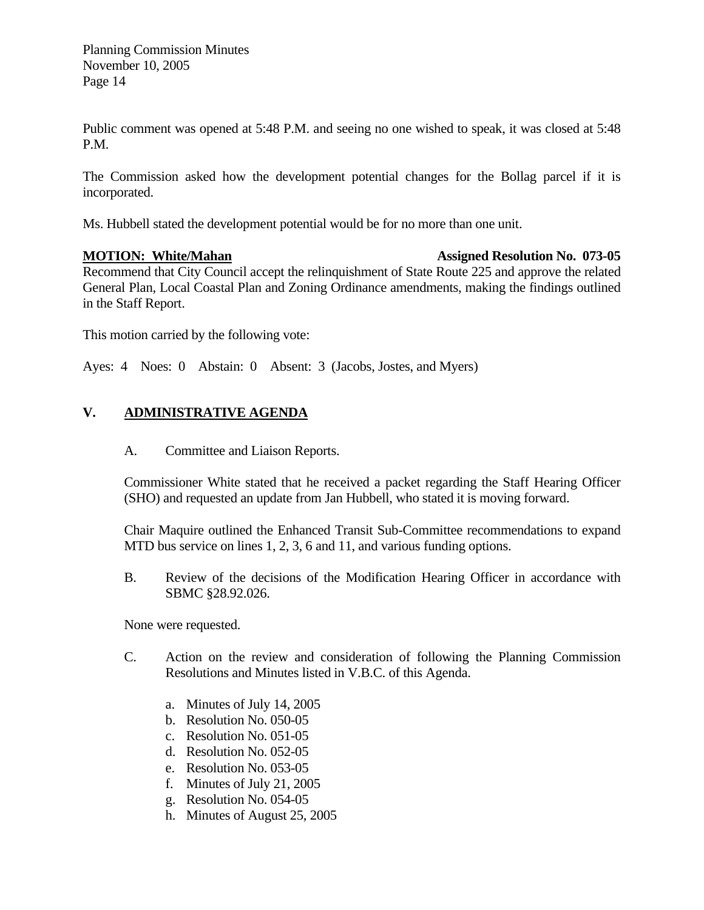Public comment was opened at 5:48 P.M. and seeing no one wished to speak, it was closed at 5:48 P.M.

The Commission asked how the development potential changes for the Bollag parcel if it is incorporated.

Ms. Hubbell stated the development potential would be for no more than one unit.

### **MOTION: White/Mahan Assigned Resolution No. 073-05 Assigned Resolution No. 073-05**

Recommend that City Council accept the relinquishment of State Route 225 and approve the related General Plan, Local Coastal Plan and Zoning Ordinance amendments, making the findings outlined in the Staff Report.

This motion carried by the following vote:

Ayes: 4 Noes: 0 Abstain: 0 Absent: 3 (Jacobs, Jostes, and Myers)

# **V. ADMINISTRATIVE AGENDA**

A. Committee and Liaison Reports.

Commissioner White stated that he received a packet regarding the Staff Hearing Officer (SHO) and requested an update from Jan Hubbell, who stated it is moving forward.

Chair Maquire outlined the Enhanced Transit Sub-Committee recommendations to expand MTD bus service on lines 1, 2, 3, 6 and 11, and various funding options.

B. Review of the decisions of the Modification Hearing Officer in accordance with SBMC §28.92.026.

None were requested.

- C. Action on the review and consideration of following the Planning Commission Resolutions and Minutes listed in V.B.C. of this Agenda.
	- a. Minutes of July 14, 2005
	- b. Resolution No. 050-05
	- c. Resolution No. 051-05
	- d. Resolution No. 052-05
	- e. Resolution No. 053-05
	- f. Minutes of July 21, 2005
	- g. Resolution No. 054-05
	- h. Minutes of August 25, 2005